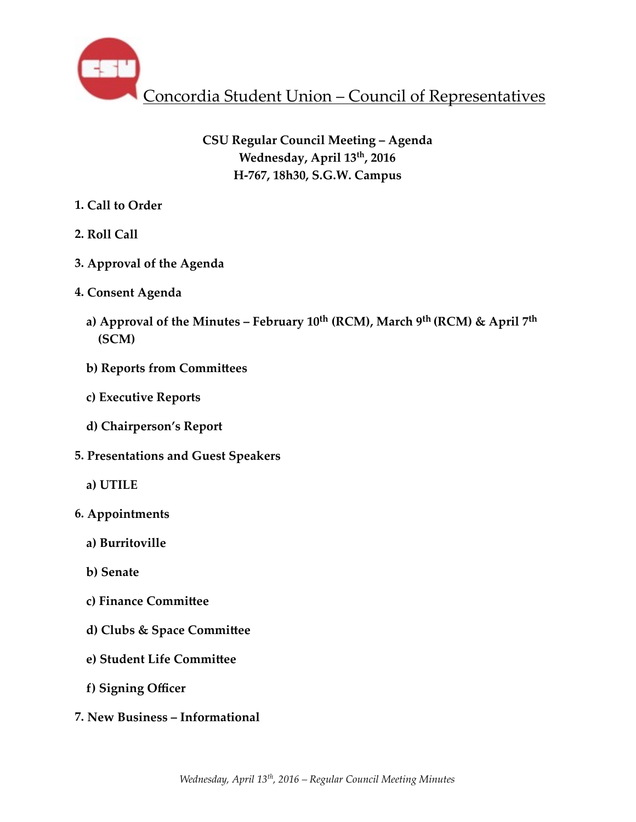

# **CSU Regular Council Meeting – Agenda Wednesday, April 13th, 2016 H-767, 18h30, S.G.W. Campus**

- **1. Call to Order**
- **2. Roll Call**
- **3. Approval of the Agenda**
- **4. Consent Agenda** 
	- a) Approval of the Minutes February  $10^{\text{th}}$  (RCM), March 9<sup>th</sup> (RCM) & April 7<sup>th</sup>  **(SCM)**
	- **b) Reports from Committees**
	- **c) Executive Reports**
	- **d) Chairperson's Report**
- **5. Presentations and Guest Speakers** 
	- **a) UTILE**
- **6. Appointments** 
	- **a) Burritoville**
	- **b) Senate**
	- **c)** Finance Committee
	- **d) Clubs & Space Committee**
	- **e) Student Life Committee**
	- **f) Signing Officer**
- **7. New Business Informational**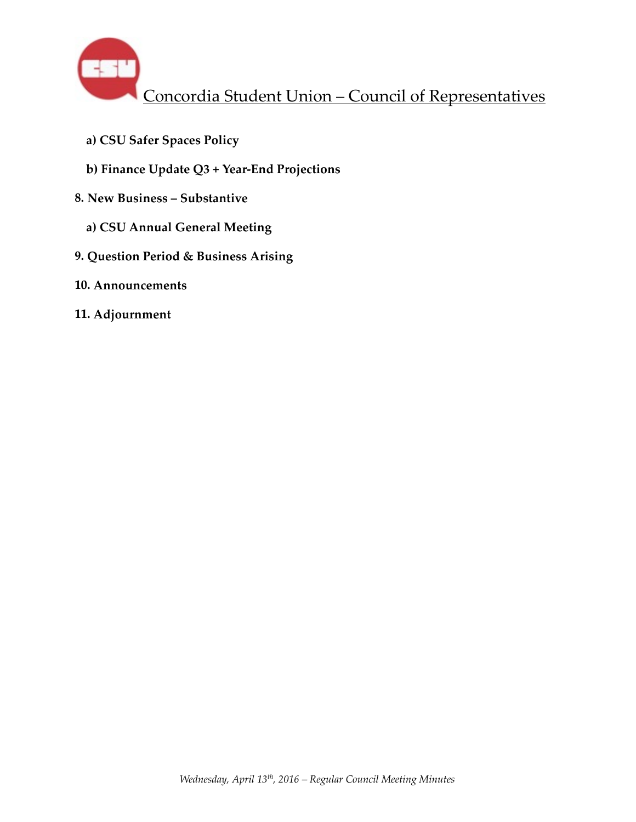

- **a) CSU Safer Spaces Policy**
- **b) Finance Update Q3 + Year-End Projections**
- **8. New Business Substantive** 
	- **a) CSU Annual General Meeting**
- **9. Question Period & Business Arising**
- **10. Announcements**
- **11. Adjournment**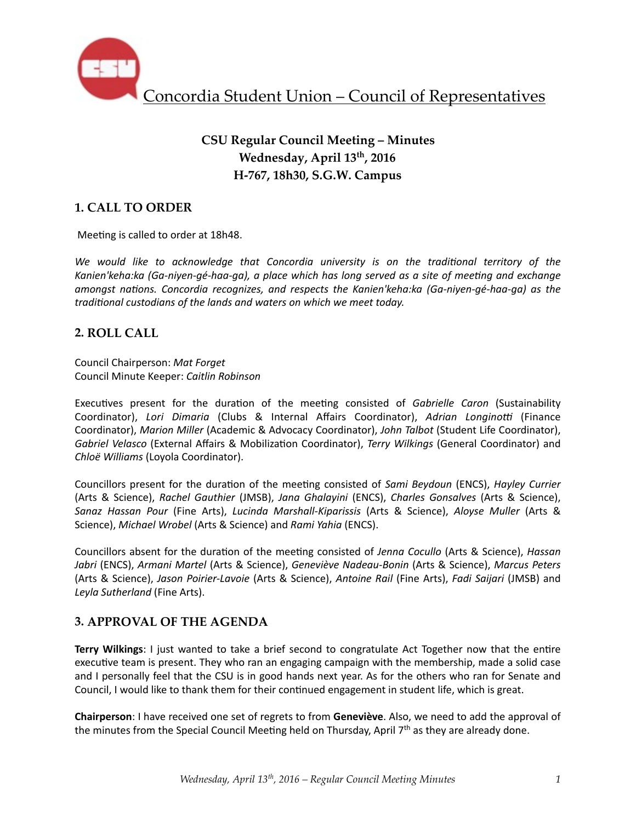

# **CSU Regular Council Meeting – Minutes Wednesday, April 13th, 2016 H-767, 18h30, S.G.W. Campus**

## **1. CALL TO ORDER**

Meeting is called to order at 18h48.

We would like to acknowledge that Concordia university is on the traditional territory of the Kanien'keha:ka (Ga-niyen-gé-haa-ga), a place which has long served as a site of meeting and exchange *amongst nations. Concordia recognizes, and respects the Kanien'keha:ka (Ga-niyen-gé-haa-ga)* as the *traditional custodians of the lands and waters on which we meet today.* 

### **2. ROLL CALL**

Council Chairperson: *Mat Forget* Council Minute Keeper: *Caitlin Robinson*

Executives present for the duration of the meeting consisted of *Gabrielle Caron* (Sustainability Coordinator), *Lori Dimaria* (Clubs & Internal Affairs Coordinator), Adrian Longinotti (Finance Coordinator), *Marion Miller* (Academic & Advocacy Coordinator), *John Talbot* (Student Life Coordinator), *Gabriel Velasco* (External Affairs & Mobilization Coordinator), *Terry Wilkings* (General Coordinator) and *Chloë Williams* (Loyola Coordinator). 

Councillors present for the duration of the meeting consisted of *Sami Beydoun* (ENCS), *Hayley Currier* (Arts & Science), *Rachel Gauthier* (JMSB), *Jana Ghalayini* (ENCS), *Charles Gonsalves*  (Arts & Science), *Sanaz Hassan Pour* (Fine Arts), *Lucinda Marshall-Kiparissis* (Arts & Science), *Aloyse Muller* (Arts & Science), *Michael Wrobel* (Arts & Science) and *Rami Yahia* (ENCS).

Councillors absent for the duration of the meeting consisted of *Jenna Cocullo* (Arts & Science), *Hassan* Jabri (ENCS), Armani Martel (Arts & Science), Geneviève Nadeau-Bonin (Arts & Science), Marcus Peters (Arts & Science), *Jason Poirier-Lavoie* (Arts & Science), *Antoine Rail* (Fine Arts), *Fadi Saijari* (JMSB) and Leyla Sutherland (Fine Arts).

### **3. APPROVAL OF THE AGENDA**

**Terry Wilkings**: I just wanted to take a brief second to congratulate Act Together now that the entire executive team is present. They who ran an engaging campaign with the membership, made a solid case and I personally feel that the CSU is in good hands next year. As for the others who ran for Senate and Council, I would like to thank them for their continued engagement in student life, which is great.

**Chairperson**: I have received one set of regrets to from Geneviève. Also, we need to add the approval of the minutes from the Special Council Meeting held on Thursday, April 7<sup>th</sup> as they are already done.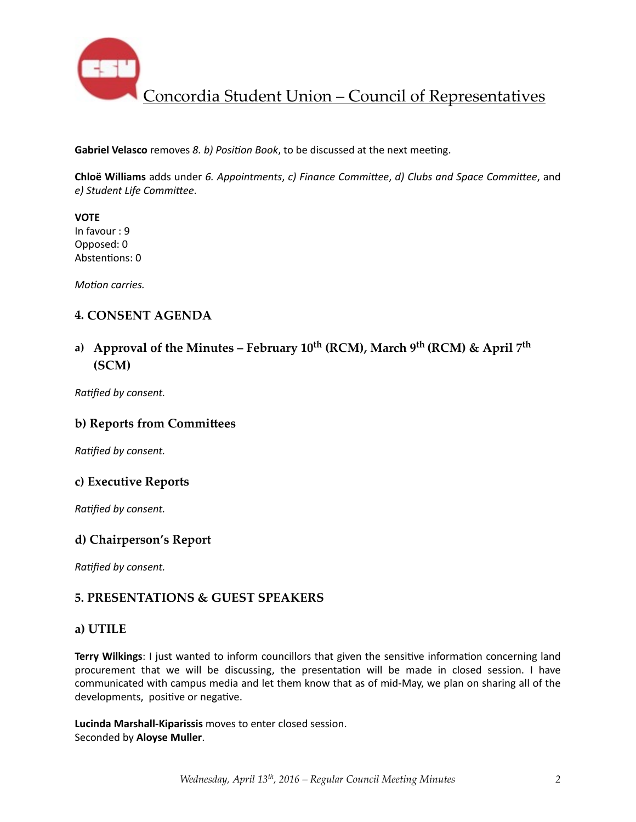

**Gabriel Velasco** removes *8. b) Position Book*, to be discussed at the next meeting.

**Chloë Williams** adds under 6. Appointments, c) Finance Committee, d) Clubs and Space Committee, and *e) Student Life Commi\ee*. 

**VOTE** In favour : 9 Opposed: 0 Abstentions: 0

*Motion carries.* 

### **4. CONSENT AGENDA**

## a) Approval of the Minutes – February  $10^{th}$  (RCM), March  $9^{th}$  (RCM) & April  $7^{th}$ **(SCM)**

**Ratified by consent.** 

#### **b) Reports from Committees**

**Ratified by consent.** 

#### **c) Executive Reports**

*Ratified by consent.* 

### **d) Chairperson's Report**

**Ratified by consent.** 

### **5. PRESENTATIONS & GUEST SPEAKERS**

#### **a) UTILE**

Terry Wilkings: I just wanted to inform councillors that given the sensitive information concerning land procurement that we will be discussing, the presentation will be made in closed session. I have communicated with campus media and let them know that as of mid-May, we plan on sharing all of the developments, positive or negative.

Lucinda Marshall-Kiparissis moves to enter closed session. Seconded by **Aloyse Muller**.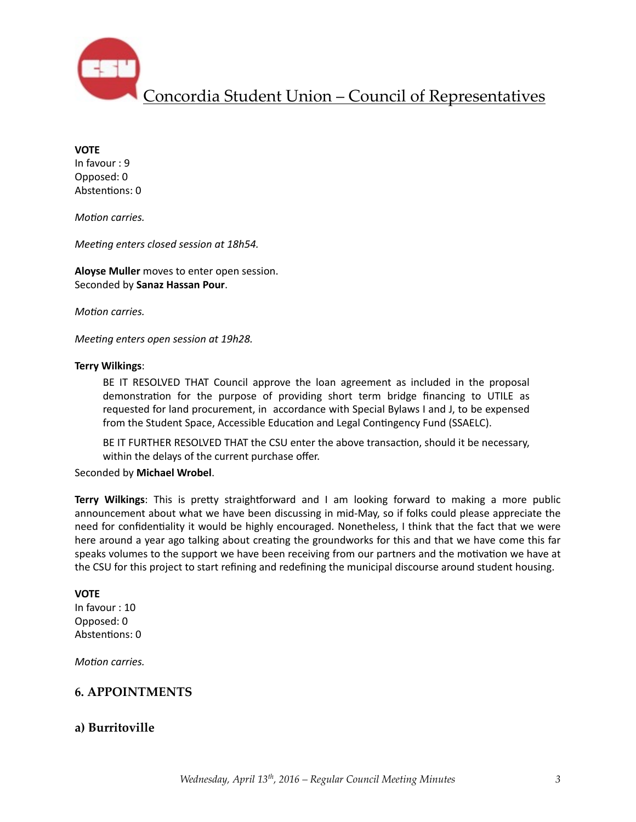

**VOTE** 

In favour : 9 Opposed: 0 Abstentions: 0

*Motion carries.* 

*Meeting enters closed session at 18h54.* 

**Aloyse Muller** moves to enter open session. Seconded by **Sanaz Hassan Pour**. 

*Motion carries.* 

*Meeting enters open session at 19h28.* 

#### **Terry Wilkings**:

BE IT RESOLVED THAT Council approve the loan agreement as included in the proposal demonstration for the purpose of providing short term bridge financing to UTILE as requested for land procurement, in accordance with Special Bylaws I and J, to be expensed from the Student Space, Accessible Education and Legal Contingency Fund (SSAELC).

BE IT FURTHER RESOLVED THAT the CSU enter the above transaction, should it be necessary, within the delays of the current purchase offer.

Seconded by **Michael Wrobel**. 

**Terry Wilkings**: This is pretty straightforward and I am looking forward to making a more public announcement about what we have been discussing in mid-May, so if folks could please appreciate the need for confidentiality it would be highly encouraged. Nonetheless, I think that the fact that we were here around a year ago talking about creating the groundworks for this and that we have come this far speaks volumes to the support we have been receiving from our partners and the motivation we have at the CSU for this project to start refining and redefining the municipal discourse around student housing.

#### **VOTE**

In favour : 10 Opposed: 0 Abstentions: 0

*Motion carries.* 

### **6. APPOINTMENTS**

### **a) Burritoville**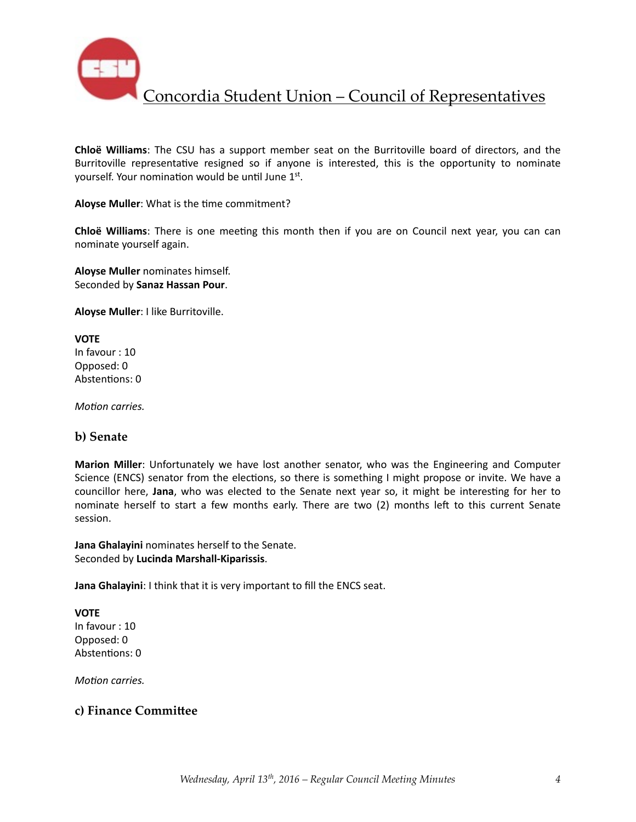

**Chloë Williams**: The CSU has a support member seat on the Burritoville board of directors, and the Burritoville representative resigned so if anyone is interested, this is the opportunity to nominate yourself. Your nomination would be until June 1st.

Aloyse Muller: What is the time commitment?

**Chloë Williams**: There is one meeting this month then if you are on Council next year, you can can nominate yourself again.

**Aloyse Muller** nominates himself. Seconded by **Sanaz Hassan Pour**. 

**Aloyse Muller**: I like Burritoville.

**VOTE** In favour : 10 Opposed: 0 Abstentions: 0

*Motion carries.* 

#### **b) Senate**

**Marion Miller**: Unfortunately we have lost another senator, who was the Engineering and Computer Science (ENCS) senator from the elections, so there is something I might propose or invite. We have a councillor here, Jana, who was elected to the Senate next year so, it might be interesting for her to nominate herself to start a few months early. There are two (2) months left to this current Senate session. 

**Jana Ghalayini** nominates herself to the Senate. Seconded by **Lucinda Marshall-Kiparissis**. 

**Jana Ghalayini**: I think that it is very important to fill the ENCS seat.

**VOTE** In favour : 10 Opposed: 0 Abstentions: 0

*Motion carries.* 

### **c) Finance Committee**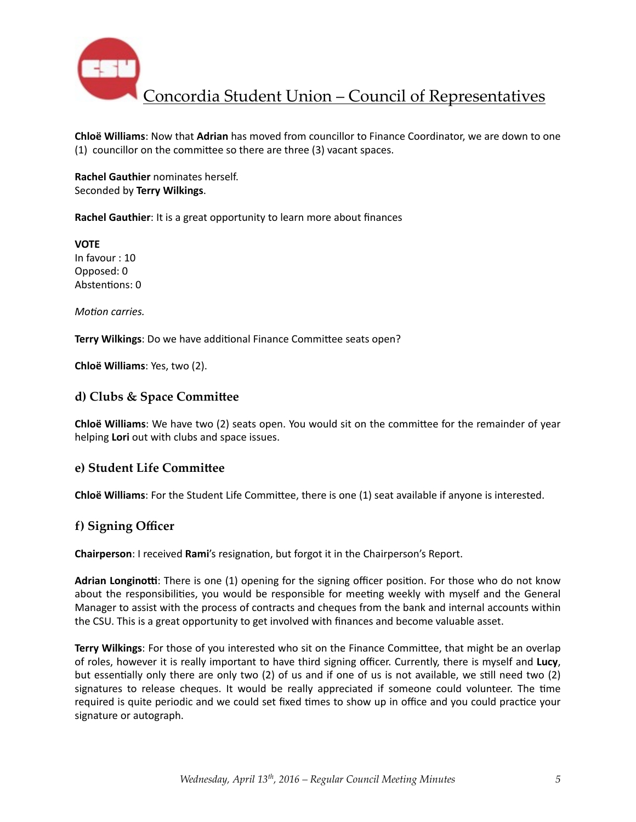

**Chloë Williams:** Now that **Adrian** has moved from councillor to Finance Coordinator, we are down to one  $(1)$  councillor on the committee so there are three  $(3)$  vacant spaces.

**Rachel Gauthier** nominates herself. Seconded by **Terry Wilkings**. 

**Rachel Gauthier**: It is a great opportunity to learn more about finances

**VOTE** In favour : 10 Opposed: 0 Abstentions: 0

*Motion carries.* 

**Terry Wilkings:** Do we have additional Finance Committee seats open?

**Chloë Williams**: Yes, two (2).

#### d) Clubs & Space Committee

**Chloë Williams**: We have two (2) seats open. You would sit on the committee for the remainder of year helping **Lori** out with clubs and space issues.

#### **e) Student Life Committee**

**Chloë Williams**: For the Student Life Committee, there is one (1) seat available if anyone is interested.

#### **f) Signing Officer**

**Chairperson:** I received Rami's resignation, but forgot it in the Chairperson's Report.

Adrian Longinotti: There is one (1) opening for the signing officer position. For those who do not know about the responsibilities, you would be responsible for meeting weekly with myself and the General Manager to assist with the process of contracts and cheques from the bank and internal accounts within the CSU. This is a great opportunity to get involved with finances and become valuable asset.

**Terry Wilkings**: For those of you interested who sit on the Finance Committee, that might be an overlap of roles, however it is really important to have third signing officer. Currently, there is myself and Lucy, but essentially only there are only two  $(2)$  of us and if one of us is not available, we still need two  $(2)$ signatures to release cheques. It would be really appreciated if someone could volunteer. The time required is quite periodic and we could set fixed times to show up in office and you could practice your signature or autograph.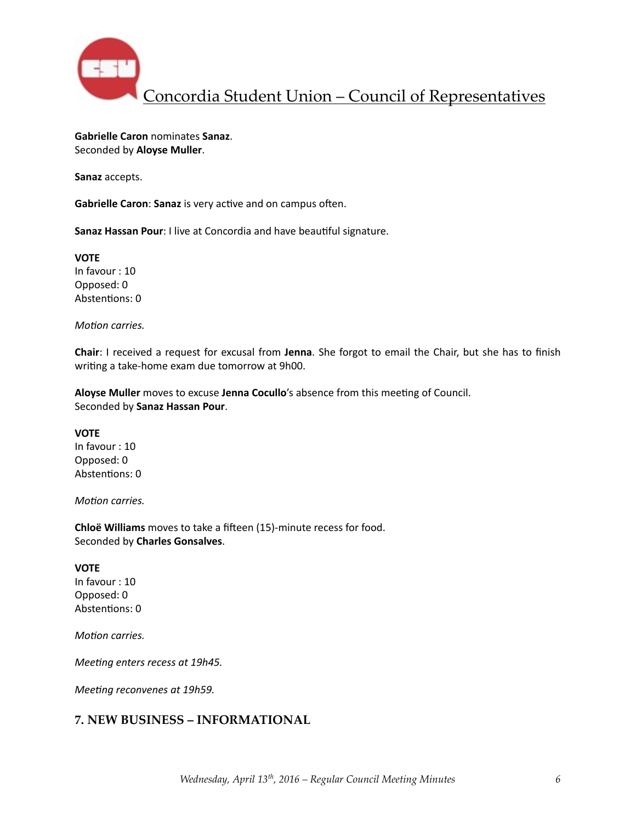

**Gabrielle Caron** nominates **Sanaz**. Seconded by **Aloyse Muller**. 

**Sanaz** accepts. 

**Gabrielle Caron: Sanaz** is very active and on campus often.

**Sanaz Hassan Pour**: I live at Concordia and have beautiful signature.

**VOTE** In favour : 10 Opposed: 0 Abstentions: 0

*Motion carries.* 

**Chair**: I received a request for excusal from Jenna. She forgot to email the Chair, but she has to finish writing a take-home exam due tomorrow at 9h00.

Aloyse Muller moves to excuse Jenna Cocullo's absence from this meeting of Council. Seconded by **Sanaz Hassan Pour**. 

**VOTE** In favour : 10 Opposed: 0 Abstentions: 0

*Motion carries.* 

**Chloë Williams** moves to take a fifteen (15)-minute recess for food. Seconded by **Charles Gonsalves**. 

**VOTE** 

In favour : 10 Opposed: 0 Abstentions: 0

*Motion carries.* 

*Meeting enters recess at 19h45.* 

*Meeting reconvenes at 19h59.* 

### **7. NEW BUSINESS – INFORMATIONAL**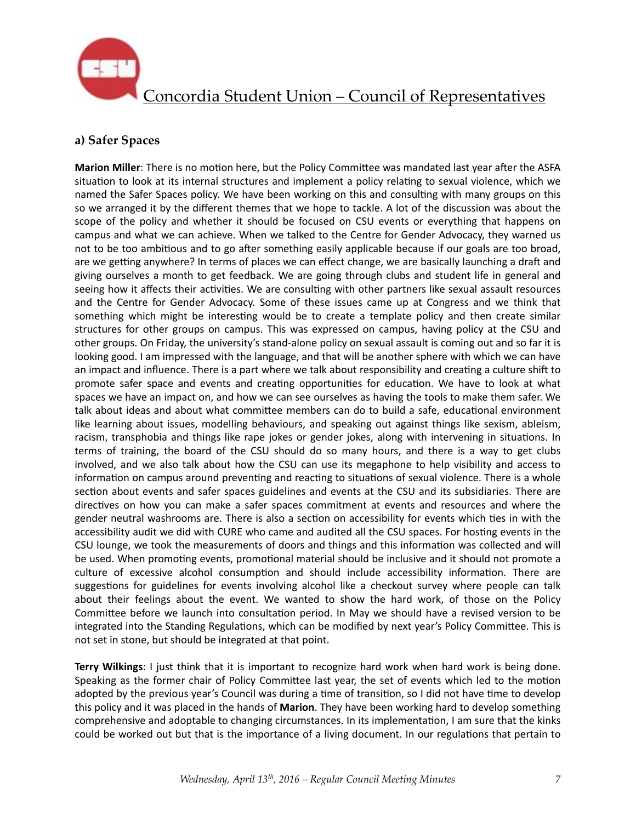

## **a) Safer Spaces**

**Marion Miller**: There is no motion here, but the Policy Committee was mandated last year after the ASFA situation to look at its internal structures and implement a policy relating to sexual violence, which we named the Safer Spaces policy. We have been working on this and consulting with many groups on this so we arranged it by the different themes that we hope to tackle. A lot of the discussion was about the scope of the policy and whether it should be focused on CSU events or everything that happens on campus and what we can achieve. When we talked to the Centre for Gender Advocacy, they warned us not to be too ambitious and to go after something easily applicable because if our goals are too broad, are we getting anywhere? In terms of places we can effect change, we are basically launching a draft and giving ourselves a month to get feedback. We are going through clubs and student life in general and seeing how it affects their activities. We are consulting with other partners like sexual assault resources and the Centre for Gender Advocacy. Some of these issues came up at Congress and we think that something which might be interesting would be to create a template policy and then create similar structures for other groups on campus. This was expressed on campus, having policy at the CSU and other groups. On Friday, the university's stand-alone policy on sexual assault is coming out and so far it is looking good. I am impressed with the language, and that will be another sphere with which we can have an impact and influence. There is a part where we talk about responsibility and creating a culture shift to promote safer space and events and creating opportunities for education. We have to look at what spaces we have an impact on, and how we can see ourselves as having the tools to make them safer. We talk about ideas and about what committee members can do to build a safe, educational environment like learning about issues, modelling behaviours, and speaking out against things like sexism, ableism, racism, transphobia and things like rape jokes or gender jokes, along with intervening in situations. In terms of training, the board of the CSU should do so many hours, and there is a way to get clubs involved, and we also talk about how the CSU can use its megaphone to help visibility and access to information on campus around preventing and reacting to situations of sexual violence. There is a whole section about events and safer spaces guidelines and events at the CSU and its subsidiaries. There are directives on how you can make a safer spaces commitment at events and resources and where the gender neutral washrooms are. There is also a section on accessibility for events which ties in with the accessibility audit we did with CURE who came and audited all the CSU spaces. For hosting events in the CSU lounge, we took the measurements of doors and things and this information was collected and will be used. When promoting events, promotional material should be inclusive and it should not promote a culture of excessive alcohol consumption and should include accessibility information. There are suggestions for guidelines for events involving alcohol like a checkout survey where people can talk about their feelings about the event. We wanted to show the hard work, of those on the Policy Committee before we launch into consultation period. In May we should have a revised version to be integrated into the Standing Regulations, which can be modified by next year's Policy Committee. This is not set in stone, but should be integrated at that point.

**Terry Wilkings**: I just think that it is important to recognize hard work when hard work is being done. Speaking as the former chair of Policy Committee last year, the set of events which led to the motion adopted by the previous year's Council was during a time of transition, so I did not have time to develop this policy and it was placed in the hands of **Marion**. They have been working hard to develop something comprehensive and adoptable to changing circumstances. In its implementation, I am sure that the kinks could be worked out but that is the importance of a living document. In our regulations that pertain to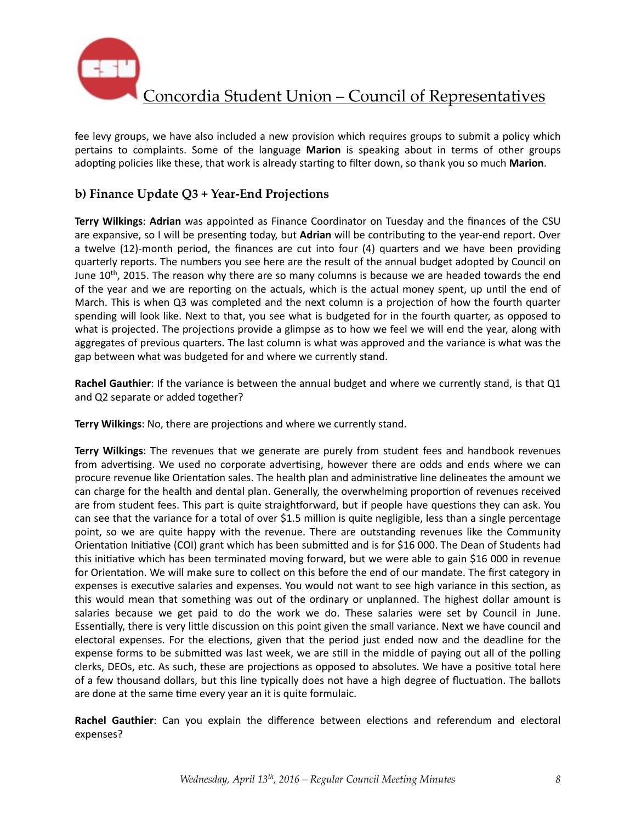

fee levy groups, we have also included a new provision which requires groups to submit a policy which pertains to complaints. Some of the language **Marion** is speaking about in terms of other groups adopting policies like these, that work is already starting to filter down, so thank you so much Marion.

## **b) Finance Update Q3 + Year-End Projections**

**Terry Wilkings: Adrian** was appointed as Finance Coordinator on Tuesday and the finances of the CSU are expansive, so I will be presenting today, but Adrian will be contributing to the year-end report. Over a twelve  $(12)$ -month period, the finances are cut into four  $(4)$  quarters and we have been providing quarterly reports. The numbers you see here are the result of the annual budget adopted by Council on June  $10<sup>th</sup>$ , 2015. The reason why there are so many columns is because we are headed towards the end of the year and we are reporting on the actuals, which is the actual money spent, up until the end of March. This is when Q3 was completed and the next column is a projection of how the fourth quarter spending will look like. Next to that, you see what is budgeted for in the fourth quarter, as opposed to what is projected. The projections provide a glimpse as to how we feel we will end the year, along with aggregates of previous quarters. The last column is what was approved and the variance is what was the gap between what was budgeted for and where we currently stand.

**Rachel Gauthier**: If the variance is between the annual budget and where we currently stand, is that Q1 and Q2 separate or added together?

**Terry Wilkings:** No, there are projections and where we currently stand.

**Terry Wilkings**: The revenues that we generate are purely from student fees and handbook revenues from advertising. We used no corporate advertising, however there are odds and ends where we can procure revenue like Orientation sales. The health plan and administrative line delineates the amount we can charge for the health and dental plan. Generally, the overwhelming proportion of revenues received are from student fees. This part is quite straightforward, but if people have questions they can ask. You can see that the variance for a total of over \$1.5 million is quite negligible, less than a single percentage point, so we are quite happy with the revenue. There are outstanding revenues like the Community Orientation Initiative (COI) grant which has been submitted and is for \$16 000. The Dean of Students had this initiative which has been terminated moving forward, but we were able to gain \$16 000 in revenue for Orientation. We will make sure to collect on this before the end of our mandate. The first category in expenses is executive salaries and expenses. You would not want to see high variance in this section, as this would mean that something was out of the ordinary or unplanned. The highest dollar amount is salaries because we get paid to do the work we do. These salaries were set by Council in June. Essentially, there is very little discussion on this point given the small variance. Next we have council and electoral expenses. For the elections, given that the period just ended now and the deadline for the expense forms to be submitted was last week, we are still in the middle of paying out all of the polling clerks, DEOs, etc. As such, these are projections as opposed to absolutes. We have a positive total here of a few thousand dollars, but this line typically does not have a high degree of fluctuation. The ballots are done at the same time every year an it is quite formulaic.

**Rachel Gauthier**: Can you explain the difference between elections and referendum and electoral expenses?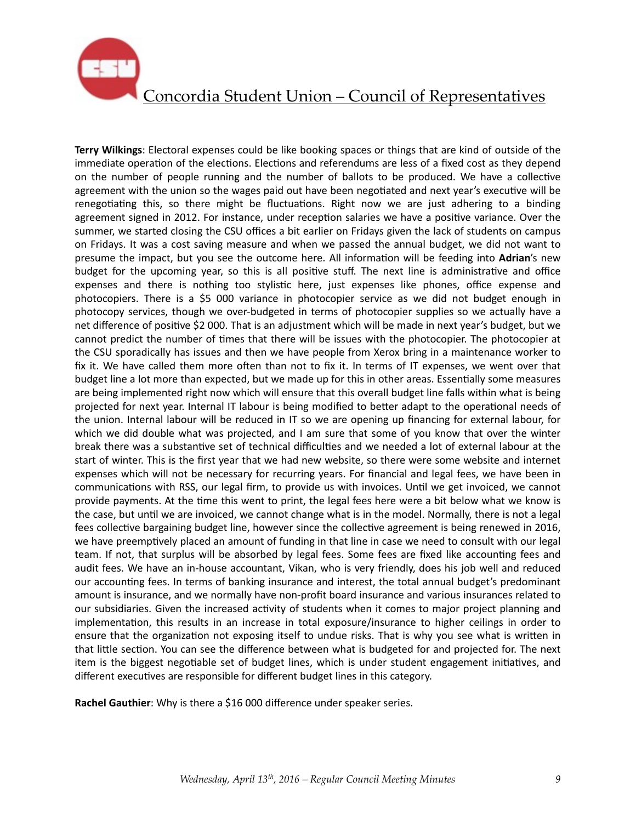

**Terry Wilkings**: Electoral expenses could be like booking spaces or things that are kind of outside of the immediate operation of the elections. Elections and referendums are less of a fixed cost as they depend on the number of people running and the number of ballots to be produced. We have a collective agreement with the union so the wages paid out have been negotiated and next year's executive will be renegotiating this, so there might be fluctuations. Right now we are just adhering to a binding agreement signed in 2012. For instance, under reception salaries we have a positive variance. Over the summer, we started closing the CSU offices a bit earlier on Fridays given the lack of students on campus on Fridays. It was a cost saving measure and when we passed the annual budget, we did not want to presume the impact, but you see the outcome here. All information will be feeding into **Adrian's** new budget for the upcoming year, so this is all positive stuff. The next line is administrative and office expenses and there is nothing too stylistic here, just expenses like phones, office expense and photocopiers. There is a \$5 000 variance in photocopier service as we did not budget enough in photocopy services, though we over-budgeted in terms of photocopier supplies so we actually have a net difference of positive \$2 000. That is an adjustment which will be made in next year's budget, but we cannot predict the number of times that there will be issues with the photocopier. The photocopier at the CSU sporadically has issues and then we have people from Xerox bring in a maintenance worker to fix it. We have called them more often than not to fix it. In terms of IT expenses, we went over that budget line a lot more than expected, but we made up for this in other areas. Essentially some measures are being implemented right now which will ensure that this overall budget line falls within what is being projected for next year. Internal IT labour is being modified to better adapt to the operational needs of the union. Internal labour will be reduced in IT so we are opening up financing for external labour, for which we did double what was projected, and I am sure that some of you know that over the winter break there was a substantive set of technical difficulties and we needed a lot of external labour at the start of winter. This is the first year that we had new website, so there were some website and internet expenses which will not be necessary for recurring years. For financial and legal fees, we have been in communications with RSS, our legal firm, to provide us with invoices. Until we get invoiced, we cannot provide payments. At the time this went to print, the legal fees here were a bit below what we know is the case, but until we are invoiced, we cannot change what is in the model. Normally, there is not a legal fees collective bargaining budget line, however since the collective agreement is being renewed in 2016, we have preemptively placed an amount of funding in that line in case we need to consult with our legal team. If not, that surplus will be absorbed by legal fees. Some fees are fixed like accounting fees and audit fees. We have an in-house accountant, Vikan, who is very friendly, does his job well and reduced our accounting fees. In terms of banking insurance and interest, the total annual budget's predominant amount is insurance, and we normally have non-profit board insurance and various insurances related to our subsidiaries. Given the increased activity of students when it comes to major project planning and implementation, this results in an increase in total exposure/insurance to higher ceilings in order to ensure that the organization not exposing itself to undue risks. That is why you see what is written in that little section. You can see the difference between what is budgeted for and projected for. The next item is the biggest negotiable set of budget lines, which is under student engagement initiatives, and different executives are responsible for different budget lines in this category.

**Rachel Gauthier:** Why is there a \$16 000 difference under speaker series.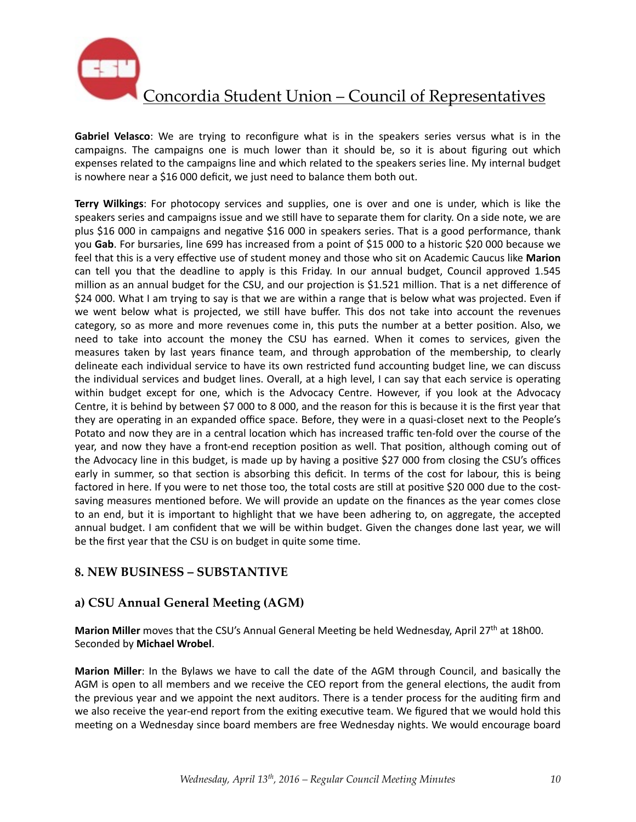

**Gabriel Velasco**: We are trying to reconfigure what is in the speakers series versus what is in the campaigns. The campaigns one is much lower than it should be, so it is about figuring out which expenses related to the campaigns line and which related to the speakers series line. My internal budget is nowhere near a \$16 000 deficit, we just need to balance them both out.

**Terry Wilkings**: For photocopy services and supplies, one is over and one is under, which is like the speakers series and campaigns issue and we still have to separate them for clarity. On a side note, we are plus \$16 000 in campaigns and negative \$16 000 in speakers series. That is a good performance, thank you Gab. For bursaries, line 699 has increased from a point of \$15 000 to a historic \$20 000 because we feel that this is a very effective use of student money and those who sit on Academic Caucus like Marion can tell you that the deadline to apply is this Friday. In our annual budget, Council approved 1.545 million as an annual budget for the CSU, and our projection is \$1.521 million. That is a net difference of \$24 000. What I am trying to say is that we are within a range that is below what was projected. Even if we went below what is projected, we still have buffer. This dos not take into account the revenues category, so as more and more revenues come in, this puts the number at a better position. Also, we need to take into account the money the CSU has earned. When it comes to services, given the measures taken by last years finance team, and through approbation of the membership, to clearly delineate each individual service to have its own restricted fund accounting budget line, we can discuss the individual services and budget lines. Overall, at a high level, I can say that each service is operating within budget except for one, which is the Advocacy Centre. However, if you look at the Advocacy Centre, it is behind by between \$7 000 to 8 000, and the reason for this is because it is the first year that they are operating in an expanded office space. Before, they were in a quasi-closet next to the People's Potato and now they are in a central location which has increased traffic ten-fold over the course of the year, and now they have a front-end reception position as well. That position, although coming out of the Advocacy line in this budget, is made up by having a positive \$27 000 from closing the CSU's offices early in summer, so that section is absorbing this deficit. In terms of the cost for labour, this is being factored in here. If you were to net those too, the total costs are still at positive \$20 000 due to the costsaving measures mentioned before. We will provide an update on the finances as the year comes close to an end, but it is important to highlight that we have been adhering to, on aggregate, the accepted annual budget. I am confident that we will be within budget. Given the changes done last year, we will be the first year that the CSU is on budget in quite some time.

## **8. NEW BUSINESS – SUBSTANTIVE**

## **a) CSU Annual General Meeting (AGM)**

Marion Miller moves that the CSU's Annual General Meeting be held Wednesday, April 27<sup>th</sup> at 18h00. Seconded by **Michael Wrobel**. 

**Marion Miller**: In the Bylaws we have to call the date of the AGM through Council, and basically the AGM is open to all members and we receive the CEO report from the general elections, the audit from the previous year and we appoint the next auditors. There is a tender process for the auditing firm and we also receive the year-end report from the exiting executive team. We figured that we would hold this meeting on a Wednesday since board members are free Wednesday nights. We would encourage board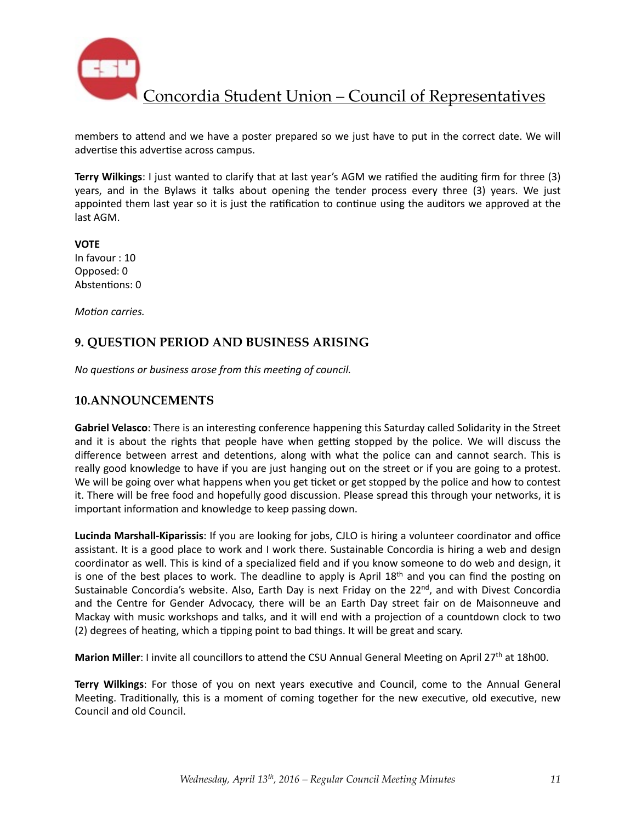

members to attend and we have a poster prepared so we just have to put in the correct date. We will advertise this advertise across campus.

**Terry Wilkings**: I just wanted to clarify that at last year's AGM we ratified the auditing firm for three (3) years, and in the Bylaws it talks about opening the tender process every three (3) years. We just appointed them last year so it is just the ratification to continue using the auditors we approved at the last AGM.

**VOTE** In favour : 10 Opposed: 0 Abstentions: 0

*Motion carries.* 

### **9. QUESTION PERIOD AND BUSINESS ARISING**

*No questions or business arose from this meeting of council.* 

#### **10.ANNOUNCEMENTS**

Gabriel Velasco: There is an interesting conference happening this Saturday called Solidarity in the Street and it is about the rights that people have when getting stopped by the police. We will discuss the difference between arrest and detentions, along with what the police can and cannot search. This is really good knowledge to have if you are just hanging out on the street or if you are going to a protest. We will be going over what happens when you get ticket or get stopped by the police and how to contest it. There will be free food and hopefully good discussion. Please spread this through your networks, it is important information and knowledge to keep passing down.

**Lucinda Marshall-Kiparissis**: If you are looking for jobs, CJLO is hiring a volunteer coordinator and office assistant. It is a good place to work and I work there. Sustainable Concordia is hiring a web and design coordinator as well. This is kind of a specialized field and if you know someone to do web and design, it is one of the best places to work. The deadline to apply is April  $18<sup>th</sup>$  and you can find the posting on Sustainable Concordia's website. Also, Earth Day is next Friday on the 22<sup>nd</sup>, and with Divest Concordia and the Centre for Gender Advocacy, there will be an Earth Day street fair on de Maisonneuve and Mackay with music workshops and talks, and it will end with a projection of a countdown clock to two (2) degrees of heating, which a tipping point to bad things. It will be great and scary.

**Marion Miller**: I invite all councillors to attend the CSU Annual General Meeting on April 27<sup>th</sup> at 18h00.

Terry Wilkings: For those of you on next years executive and Council, come to the Annual General Meeting. Traditionally, this is a moment of coming together for the new executive, old executive, new Council and old Council.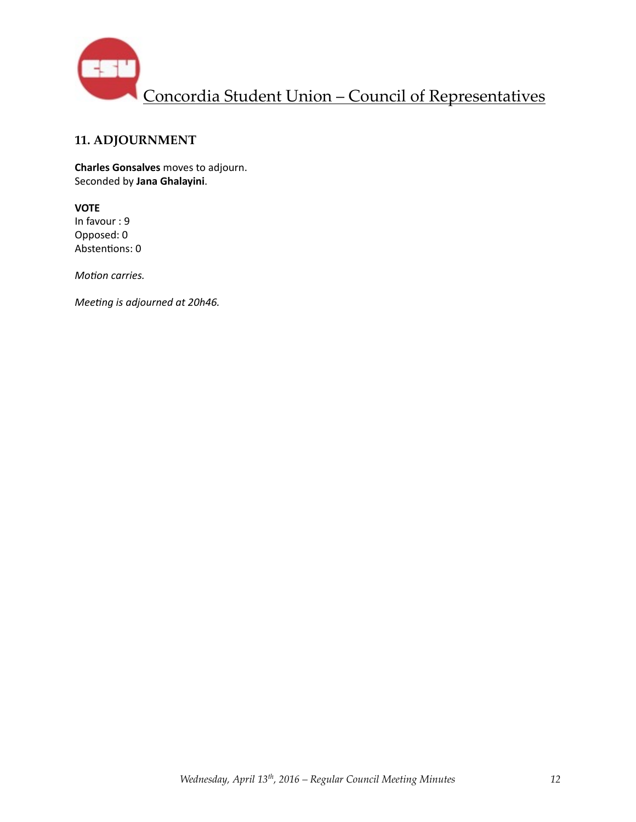

## **11. ADJOURNMENT**

**Charles Gonsalves** moves to adjourn. Seconded by **Jana Ghalayini**. 

#### **VOTE**

In favour : 9 Opposed: 0 Abstentions: 0

*Motion carries.* 

*Meeting is adjourned at 20h46.*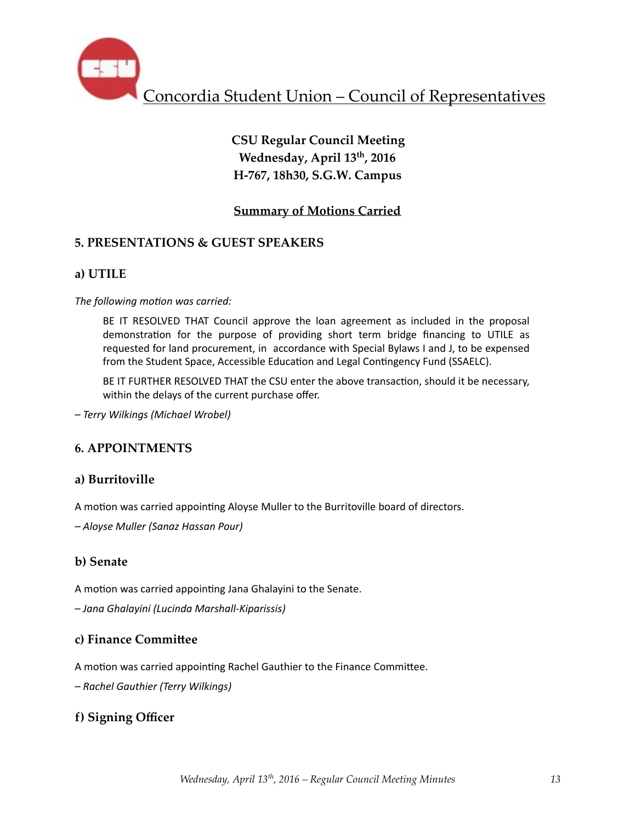

# **CSU Regular Council Meeting Wednesday, April 13th, 2016 H-767, 18h30, S.G.W. Campus**

## **Summary of Motions Carried**

## **5. PRESENTATIONS & GUEST SPEAKERS**

## **a) UTILE**

The following motion was carried:

BE IT RESOLVED THAT Council approve the loan agreement as included in the proposal demonstration for the purpose of providing short term bridge financing to UTILE as requested for land procurement, in accordance with Special Bylaws I and J, to be expensed from the Student Space, Accessible Education and Legal Contingency Fund (SSAELC).

BE IT FURTHER RESOLVED THAT the CSU enter the above transaction, should it be necessary, within the delays of the current purchase offer.

*– Terry Wilkings (Michael Wrobel)* 

## **6. APPOINTMENTS**

## **a) Burritoville**

A motion was carried appointing Aloyse Muller to the Burritoville board of directors.

*– Aloyse Muller (Sanaz Hassan Pour)* 

### **b) Senate**

A motion was carried appointing Jana Ghalayini to the Senate.

*– Jana Ghalayini (Lucinda Marshall-Kiparissis)* 

### **c) Finance Committee**

A motion was carried appointing Rachel Gauthier to the Finance Committee.

*– Rachel Gauthier (Terry Wilkings)* 

## **f) Signing Officer**